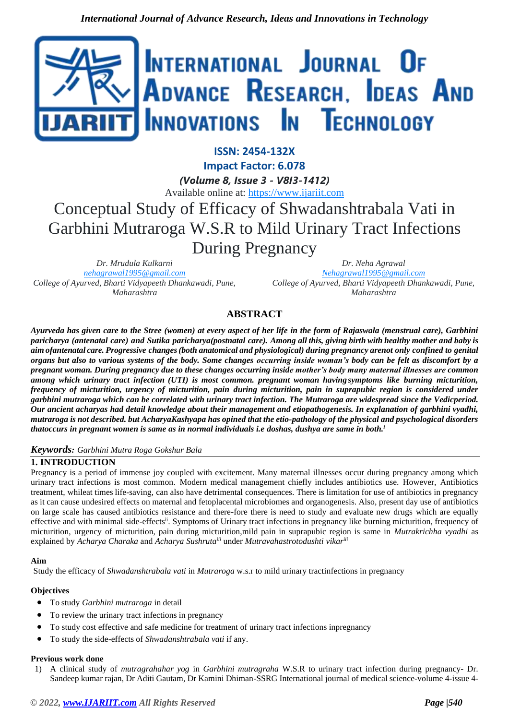

# **ISSN: 2454-132X Impact Factor: 6.078** *(Volume 8, Issue 3 - V8I3-1412)* Available online at: [https://www.ijariit.com](https://www.ijariit.com/?utm_source=pdf&utm_medium=edition&utm_campaign=OmAkSols&utm_term=V8I3-1412) Conceptual Study of Efficacy of Shwadanshtrabala Vati in Garbhini Mutraroga W.S.R to Mild Urinary Tract Infections During Pregnancy

*Dr. Mrudula Kulkarni [nehagrawal1995@gmail.com](mailto:nehagrawal1995@gmail.com) College of Ayurved, Bharti Vidyapeeth Dhankawadi, Pune, Maharashtra*

*Dr. Neha Agrawal [Nehagrawal1995@gmail.com](mailto:Nehagrawal1995@gmail.com) College of Ayurved, Bharti Vidyapeeth Dhankawadi, Pune, Maharashtra*

## **ABSTRACT**

*Ayurveda has given care to the Stree (women) at every aspect of her life in the form of Rajaswala (menstrual care), Garbhini* paricharya (antenatal care) and Sutika paricharya(postnatal care). Among all this, giving birth with healthy mother and baby is *aim ofantenatal care. Progressive changes(both anatomical and physiological) during pregnancy arenot only confined to genital organs but also to various systems of the body. Some changes occurring inside woman's body can be felt as discomfort by a pregnant woman. During pregnancy due to these changes occurring inside mother's body many maternal illnesses are common among which urinary tract infection (UTI) is most common. pregnant woman having symptoms like burning micturition, frequency of micturition, urgency of micturition, pain during micturition, pain in suprapubic region is considered under garbhini mutraroga which can be correlated with urinary tract infection. The Mutraroga are widespread since the Vedicperiod. Our ancient acharyas had detail knowledge about their management and etiopathogenesis. In explanation of garbhini vyadhi, mutraroga is not described. but AcharyaKashyapa has opined that the etio-pathology of the physical and psychological disorders thatoccurs in pregnant women is same as in normal individuals i.e doshas, dushya are same in both.<sup>i</sup>*

### *Keywords: Garbhini Mutra Roga Gokshur Bala*

### **1. INTRODUCTION**

Pregnancy is a period of immense joy coupled with excitement. Many maternal illnesses occur during pregnancy among which urinary tract infections is most common. Modern medical management chiefly includes antibiotics use. However, Antibiotics treatment, whileat times life-saving, can also have detrimental consequences. There is limitation for use of antibiotics in pregnancy as it can cause undesired effects on maternal and fetoplacental microbiomes and organogenesis. Also, present day use of antibiotics on large scale has caused antibiotics resistance and there-fore there is need to study and evaluate new drugs which are equally effective and with minimal side-effects<sup>ii</sup>. Symptoms of Urinary tract infections in pregnancy like burning micturition, frequency of micturition, urgency of micturition, pain during micturition,mild pain in suprapubic region is same in *Mutrakrichha vyadhi* as explained by *Acharya Charaka* and *Acharya Sushrutaiii* under *Mutravahastrotodushti vikariii*

### **Aim**

Study the efficacy of *Shwadanshtrabala vati* in *Mutraroga* w.s.r to mild urinary tractinfections in pregnancy

### **Objectives**

- To study *Garbhini mutraroga* in detail
- To review the urinary tract infections in pregnancy
- To study cost effective and safe medicine for treatment of urinary tract infections inpregnancy
- To study the side-effects of *Shwadanshtrabala vati* if any.

### **Previous work done**

1) A clinical study of *mutragrahahar yog* in *Garbhini mutragraha* W.S.R to urinary tract infection during pregnancy- Dr. Sandeep kumar rajan, Dr Aditi Gautam, Dr Kamini Dhiman-SSRG International journal of medical science-volume 4-issue 4-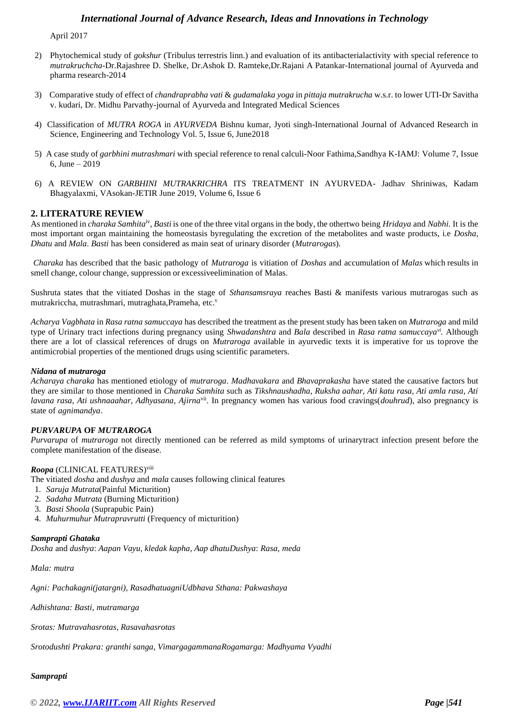April 2017

- 2) Phytochemical study of *gokshur* (Tribulus terrestris linn.) and evaluation of its antibacterialactivity with special reference to *mutrakruchcha*-Dr.Rajashree D. Shelke, Dr.Ashok D. Ramteke,Dr.Rajani A Patankar-International journal of Ayurveda and pharma research-2014
- 3) Comparative study of effect of *chandraprabha vati* & *gudamalaka yoga* in *pittaja mutrakrucha* w.s.r. to lower UTI-Dr Savitha v. kudari, Dr. Midhu Parvathy-journal of Ayurveda and Integrated Medical Sciences
- 4) Classification of *MUTRA ROGA* in *AYURVEDA* Bishnu kumar, Jyoti singh-International Journal of Advanced Research in Science, Engineering and Technology Vol. 5, Issue 6, June2018
- 5) A case study of *garbhini mutrashmari* with special reference to renal calculi-Noor Fathima,Sandhya K-IAMJ: Volume 7, Issue 6, June – 2019
- 6) A REVIEW ON *GARBHINI MUTRAKRICHRA* ITS TREATMENT IN AYURVEDA- Jadhav Shriniwas, Kadam Bhagyalaxmi, VAsokan-JETIR June 2019, Volume 6, Issue 6

#### **2. LITERATURE REVIEW**

As mentioned in *charaka Samhita*iv , *Basti* is one of the three vital organsin the body, the othertwo being *Hridaya* and *Nabhi*. It is the most important organ maintaining the homeostasis byregulating the excretion of the metabolites and waste products, i.e *Dosha, Dhatu* and *Mala*. *Basti* has been considered as main seat of urinary disorder (*Mutrarogas*).

*Charaka* has described that the basic pathology of *Mutraroga* is vitiation of *Doshas* and accumulation of *Malas* which results in smell change, colour change, suppression or excessiveelimination of Malas.

Sushruta states that the vitiated Doshas in the stage of *Sthansamsraya* reaches Basti & manifests various mutrarogas such as mutrakriccha, mutrashmari, mutraghata, Prameha, etc.v

*Acharya Vagbhata* in *Rasa ratna samuccaya* has described the treatment as the present study has been taken on *Mutraroga* and mild type of Urinary tract infections during pregnancy using *Shwadanshtra* and *Bala* described in *Rasa ratna samuccayavi .* Although there are a lot of classical references of drugs on *Mutraroga* available in ayurvedic texts it is imperative for us toprove the antimicrobial properties of the mentioned drugs using scientific parameters.

#### *Nidana* **of** *mutraroga*

*Acharaya charaka* has mentioned etiology of *mutraroga*. *Madhavakara* and *Bhavaprakasha* have stated the causative factors but they are similar to those mentioned in *Charaka Samhita* such as *Tikshnaushadha, Ruksha aahar, Ati katu rasa, Ati amla rasa, Ati lavana rasa, Ati ushnaaahar, Adhyasana, Ajirna*vii. In pregnancy women has various food cravings(*douhrud*), also pregnancy is state of *agnimandya*.

#### *PURVARUPA* **OF** *MUTRAROGA*

*Purvarupa* of *mutraroga* not directly mentioned can be referred as mild symptoms of urinarytract infection present before the complete manifestation of the disease.

#### *Roopa* (CLINICAL FEATURES)viii

The vitiated *dosha* and *dushya* and *mala* causes following clinical features

- 1. *Saruja Mutrata*(Painful Micturition)
- 2. *Sadaha Mutrata* (Burning Micturition)
- 3. *Basti Shoola* (Suprapubic Pain)
- 4. *Muhurmuhur Mutrapravrutti* (Frequency of micturition)

#### *Samprapti Ghataka*

*Dosha* and *dushya*: *Aapan Vayu, kledak kapha, Aap dhatuDushya*: *Rasa, meda*

*Mala: mutra*

*Agni: Pachakagni(jatargni), RasadhatuagniUdbhava Sthana: Pakwashaya*

*Adhishtana: Basti, mutramarga*

*Srotas: Mutravahasrotas, Rasavahasrotas*

*Srotodushti Prakara: granthi sanga, VimargagammanaRogamarga: Madhyama Vyadhi*

#### *Samprapti*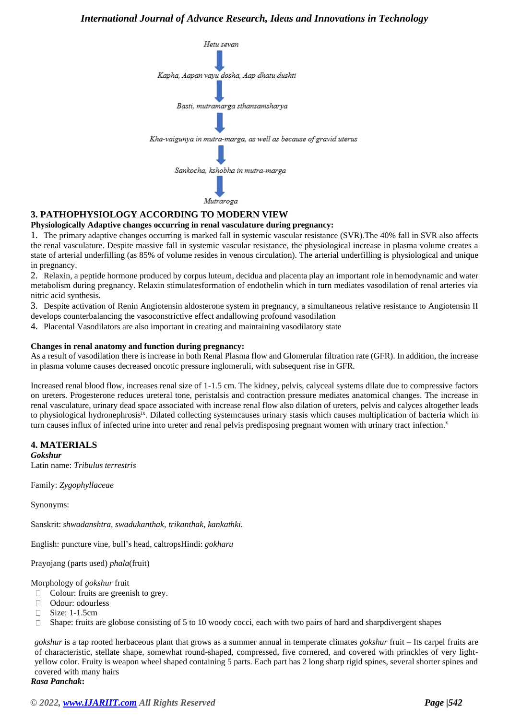

### **3. PATHOPHYSIOLOGY ACCORDING TO MODERN VIEW**

#### **Physiologically Adaptive changes occurring in renal vasculature during pregnancy:**

1. The primary adaptive changes occurring is marked fall in systemic vascular resistance (SVR).The 40% fall in SVR also affects the renal vasculature. Despite massive fall in systemic vascular resistance, the physiological increase in plasma volume creates a state of arterial underfilling (as 85% of volume resides in venous circulation). The arterial underfilling is physiological and unique in pregnancy.

2. Relaxin, a peptide hormone produced by corpus luteum, decidua and placenta play an important role in hemodynamic and water metabolism during pregnancy. Relaxin stimulatesformation of endothelin which in turn mediates vasodilation of renal arteries via nitric acid synthesis.

3. Despite activation of Renin Angiotensin aldosterone system in pregnancy, a simultaneous relative resistance to Angiotensin II

develops counterbalancing the vasoconstrictive effect andallowing profound vasodilation

4. Placental Vasodilators are also important in creating and maintaining vasodilatory state

#### **Changes in renal anatomy and function during pregnancy:**

As a result of vasodilation there isincrease in both Renal Plasma flow and Glomerular filtration rate (GFR). In addition, the increase in plasma volume causes decreased oncotic pressure inglomeruli, with subsequent rise in GFR.

Increased renal blood flow, increases renal size of 1-1.5 cm. The kidney, pelvis, calyceal systems dilate due to compressive factors on ureters. Progesterone reduces ureteral tone, peristalsis and contraction pressure mediates anatomical changes. The increase in renal vasculature, urinary dead space associated with increase renal flow also dilation of ureters, pelvis and calyces altogether leads to physiological hydronephrosisix. Dilated collecting systemcauses urinary stasis which causes multiplication of bacteria which in turn causes influx of infected urine into ureter and renal pelvis predisposing pregnant women with urinary tract infection.<sup>x</sup>

#### **4. MATERIALS**

*Gokshur* Latin name: *Tribulus terrestris*

Family: *Zygophyllaceae*

Synonyms:

Sanskrit: *shwadanshtra, swadukanthak, trikanthak, kankathki.*

English: puncture vine, bull's head, caltropsHindi: *gokharu*

Prayojang (parts used) *phala*(fruit)

#### Morphology of *gokshur* fruit

- □ Colour: fruits are greenish to grey.
- Odour: odourless  $\Box$
- Size: 1-1.5cm  $\Box$
- $\Box$  Shape: fruits are globose consisting of 5 to 10 woody cocci, each with two pairs of hard and sharpdivergent shapes

*gokshur* is a tap rooted herbaceous plant that grows as a summer annual in temperate climates *gokshur* fruit – Its carpel fruits are of characteristic, stellate shape, somewhat round-shaped, compressed, five cornered, and covered with princkles of very lightyellow color. Fruity is weapon wheel shaped containing 5 parts. Each part has 2 long sharp rigid spines, several shorter spines and covered with many hairs

### *Rasa Panchak***:**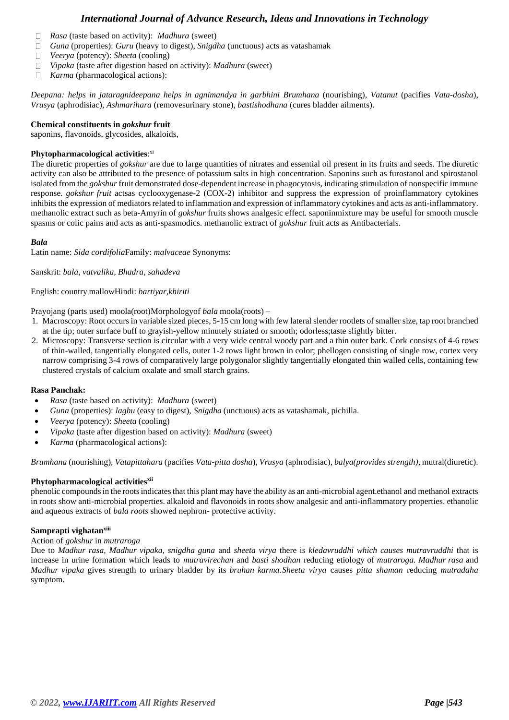- *Rasa* (taste based on activity): *Madhura* (sweet)  $\Box$
- *Guna* (properties): *Guru* (heavy to digest), *Snigdha* (unctuous) acts as vatashamak  $\Box$
- $\Box$ *Veerya* (potency): *Sheeta* (cooling)
- *Vipaka* (taste after digestion based on activity): *Madhura* (sweet)  $\Box$
- $\Box$ *Karma* (pharmacological actions):

*Deepana: helps in jataragnideepana helps in agnimandya in garbhini Brumhana* (nourishing), *Vatanut* (pacifies *Vata-dosha*), *Vrusya* (aphrodisiac), *Ashmarihara* (removesurinary stone), *bastishodhana* (cures bladder ailments).

#### **Chemical constituents in** *gokshur* **fruit**

saponins, flavonoids, glycosides, alkaloids,

#### **Phytopharmacological activities**: xi

The diuretic properties of *gokshur* are due to large quantities of nitrates and essential oil present in its fruits and seeds. The diuretic activity can also be attributed to the presence of potassium salts in high concentration. Saponins such as furostanol and spirostanol isolated from the *gokshur* fruit demonstrated dose-dependent increase in phagocytosis, indicating stimulation of nonspecific immune response. *gokshur fruit* actsas cyclooxygenase-2 (COX-2) inhibitor and suppress the expression of proinflammatory cytokines inhibits the expression of mediators related to inflammation and expression of inflammatory cytokines and acts as anti-inflammatory. methanolic extract such as beta-Amyrin of *gokshur* fruits shows analgesic effect. saponinmixture may be useful for smooth muscle spasms or colic pains and acts as anti-spasmodics. methanolic extract of *gokshur* fruit acts as Antibacterials.

#### *Bala*

Latin name: *Sida cordifolia*Family: *malvaceae* Synonyms:

Sanskrit: *bala, vatvalika, Bhadra, sahadeva*

English: country mallowHindi: *bartiyar,khiriti*

Prayojang (parts used) moola(root)Morphologyof *bala* moola(roots) –

- 1. Macroscopy: Root occurs in variable sized pieces, 5-15 cm long with few lateral slender rootlets of smaller size, tap root branched at the tip; outer surface buff to grayish-yellow minutely striated or smooth; odorless;taste slightly bitter.
- 2. Microscopy: Transverse section is circular with a very wide central woody part and a thin outer bark. Cork consists of 4-6 rows of thin-walled, tangentially elongated cells, outer 1-2 rows light brown in color; phellogen consisting of single row, cortex very narrow comprising 3-4 rows of comparatively large polygonalor slightly tangentially elongated thin walled cells, containing few clustered crystals of calcium oxalate and small starch grains.

#### **Rasa Panchak:**

- *Rasa* (taste based on activity): *Madhura* (sweet)
- *Guna* (properties): *laghu* (easy to digest), *Snigdha* (unctuous) acts as vatashamak, pichilla.
- *Veerya* (potency): *Sheeta* (cooling)
- *Vipaka* (taste after digestion based on activity): *Madhura* (sweet)
- *Karma* (pharmacological actions):

*Brumhana* (nourishing), *Vatapittahara* (pacifies *Vata-pitta dosha*), *Vrusya* (aphrodisiac), *balya(provides strength)*, mutral(diuretic).

#### **Phytopharmacological activitiesxii**

phenolic compoundsin the rootsindicatesthat this plant may have the ability as an anti-microbial agent.ethanol and methanol extracts in roots show anti-microbial properties. alkaloid and flavonoids in roots show analgesic and anti-inflammatory properties. ethanolic and aqueous extracts of *bala roots* showed nephron- protective activity.

#### **Samprapti vighatanxiii**

#### Action of *gokshur* in *mutraroga*

Due to *Madhur rasa, Madhur vipaka, snigdha guna* and *sheeta virya* there is *kledavruddhi which causes mutravruddhi* that is increase in urine formation which leads to *mutravirechan* and *basti shodhan* reducing etiology of *mutraroga. Madhur rasa* and *Madhur vipaka* gives strength to urinary bladder by its *bruhan karma.Sheeta virya* causes *pitta shaman* reducing *mutradaha* symptom*.*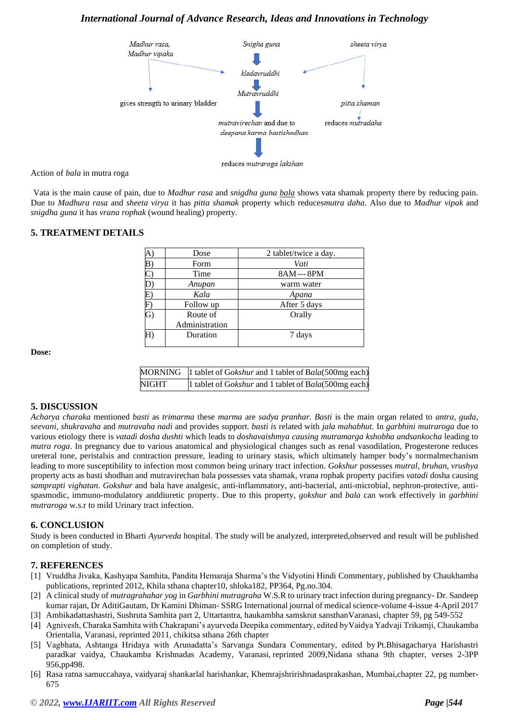

Action of *bala* in mutra roga

Vata is the main cause of pain, due to *Madhur rasa* and *snigdha guna bala* shows vata shamak property there by reducing pain. Due to *Madhura rasa* and *sheeta virya* it has *pitta shamak* property which reduces*mutra daha*. Also due to *Madhur vipak* and *snigdha guna* it has *vrana rophak* (wound healing) property.

#### **5. TREATMENT DETAILS**

| A             | Dose                       | 2 tablet/twice a day. |
|---------------|----------------------------|-----------------------|
| $\mathbf{B}$  | Form                       | Vati                  |
|               | Time                       | 8AM --- 8PM           |
|               | Anupan                     | warm water            |
| E)            | Kala                       | Apana                 |
| $\mathbf{F})$ | Follow up                  | After 5 days          |
| G             | Route of<br>Administration | Orally                |
|               | Duration                   | 7 days                |

**Dose:**

|              | MORNING 1 tablet of Gokshur and 1 tablet of Bala(500mg each) |
|--------------|--------------------------------------------------------------|
| <b>NIGHT</b> | 1 tablet of Gokshur and 1 tablet of Bala(500mg each)         |

#### **5. DISCUSSION**

*Acharya charaka* mentioned *basti* as *trimarma* these *marma* are *sadya pranhar. Basti* is the main organ related to *antra, guda, seevani, shukravaha* and *mutravaha nadi* and provides support*. basti is* related with *jala mahabhut.* In *garbhini mutraroga* due to various etiology there is *vatadi dosha dushti* which leads to *doshavaishmya causing mutramarga kshobha andsankocha* leading to *mutra roga*. In pregnancy due to various anatomical and physiological changes such as renal vasodilation, Progesterone reduces ureteral tone, peristalsis and contraction pressure, leading to urinary stasis, which ultimately hamper body's normalmechanism leading to more susceptibility to infection most common being urinary tract infection. *Gokshur* possesses *mutral*, *bruhan, vrushya*  property acts as basti shodhan and mutravirechan bala possesses vata shamak, vrana rophak property pacifies *vatadi* dosha causing *samprapti vighatan*. *Gokshur* and bala have analgesic, anti-inflammatory, anti-bacterial, anti-microbial, nephron-protective, antispasmodic, immuno-modulatory anddiuretic property. Due to this property, *gokshur* and *bala* can work effectively in *garbhini mutraroga* w.s.r to mild Urinary tract infection.

#### **6. CONCLUSION**

Study is been conducted in Bharti *Ayurveda* hospital. The study will be analyzed, interpreted,observed and result will be published on completion of study.

#### **7. REFERENCES**

- [1] Vruddha Jivaka, Kashyapa Samhita, Pandita Hemaraja Sharma's the Vidyotini Hindi Commentary, published by Chaukhamba publications, reprinted 2012, Khila sthana chapter10, shloka182, PP364, Pg.no.304.
- [2] A clinical study of *mutragrahahar yog* in *Garbhini mutragraha* W.S.R to urinary tract infection during pregnancy- Dr. Sandeep kumar rajan, Dr AditiGautam, Dr Kamini Dhiman- SSRG International journal of medical science-volume 4-issue 4-April 2017
- [3] Ambikadattashastri, Sushruta Samhita part 2, Uttartantra, haukambha samskrut sansthanVaranasi, chapter 59, pg 549-552
- [4] Agnivesh, Charaka Samhita with Chakrapani's ayurveda Deepika commentary, edited byVaidya Yadvaji Trikamji, Chaukamba Orientalia, Varanasi, reprinted 2011, chikitsa sthana 26th chapter
- [5] Vagbhata, Ashtanga Hridaya with Arunadatta's Sarvanga Sundara Commentary, edited by Pt.Bhisagacharya Harishastri paradkar vaidya, Chaukamba Krishnadas Academy, Varanasi, reprinted 2009,Nidana sthana 9th chapter, verses 2-3PP 956,pp498.
- [6] Rasa ratna samuccahaya, vaidyaraj shankarlal harishankar, Khemrajshririshnadasprakashan, Mumbai,chapter 22, pg number-675